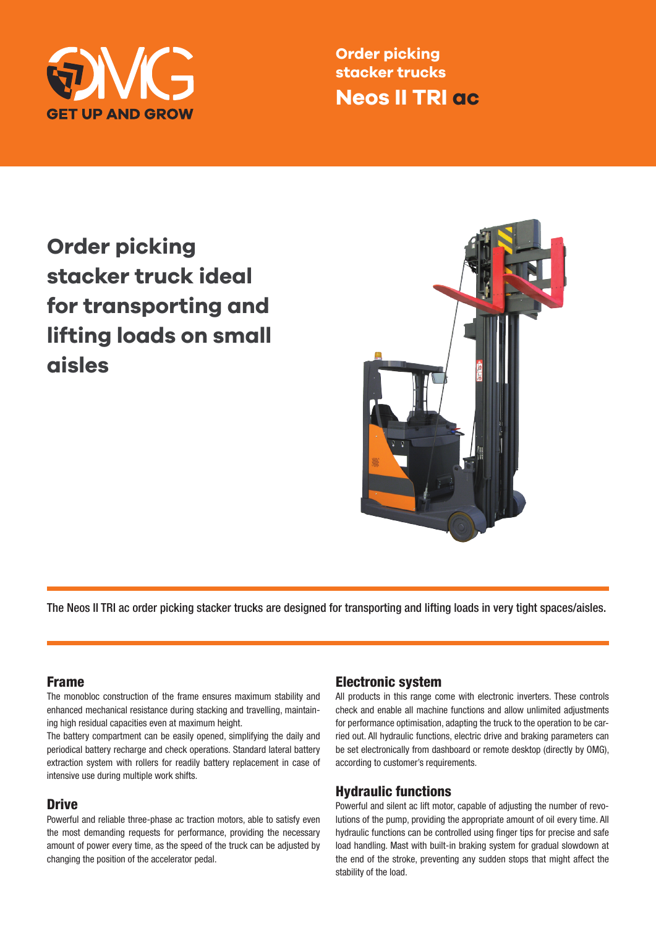

**Order picking stacker trucks Neos II TRI ac**

**Order picking stacker truck ideal for transporting and lifting loads on small aisles**



The Neos II TRI ac order picking stacker trucks are designed for transporting and lifting loads in very tight spaces/aisles.

#### Frame

The monobloc construction of the frame ensures maximum stability and enhanced mechanical resistance during stacking and travelling, maintaining high residual capacities even at maximum height.

The battery compartment can be easily opened, simplifying the daily and periodical battery recharge and check operations. Standard lateral battery extraction system with rollers for readily battery replacement in case of intensive use during multiple work shifts.

### **Drive**

Powerful and reliable three-phase ac traction motors, able to satisfy even the most demanding requests for performance, providing the necessary amount of power every time, as the speed of the truck can be adjusted by changing the position of the accelerator pedal.

### Electronic system

All products in this range come with electronic inverters. These controls check and enable all machine functions and allow unlimited adjustments for performance optimisation, adapting the truck to the operation to be carried out. All hydraulic functions, electric drive and braking parameters can be set electronically from dashboard or remote desktop (directly by OMG), according to customer's requirements.

### Hydraulic functions

Powerful and silent ac lift motor, capable of adjusting the number of revolutions of the pump, providing the appropriate amount of oil every time. All hydraulic functions can be controlled using finger tips for precise and safe load handling. Mast with built-in braking system for gradual slowdown at the end of the stroke, preventing any sudden stops that might affect the stability of the load.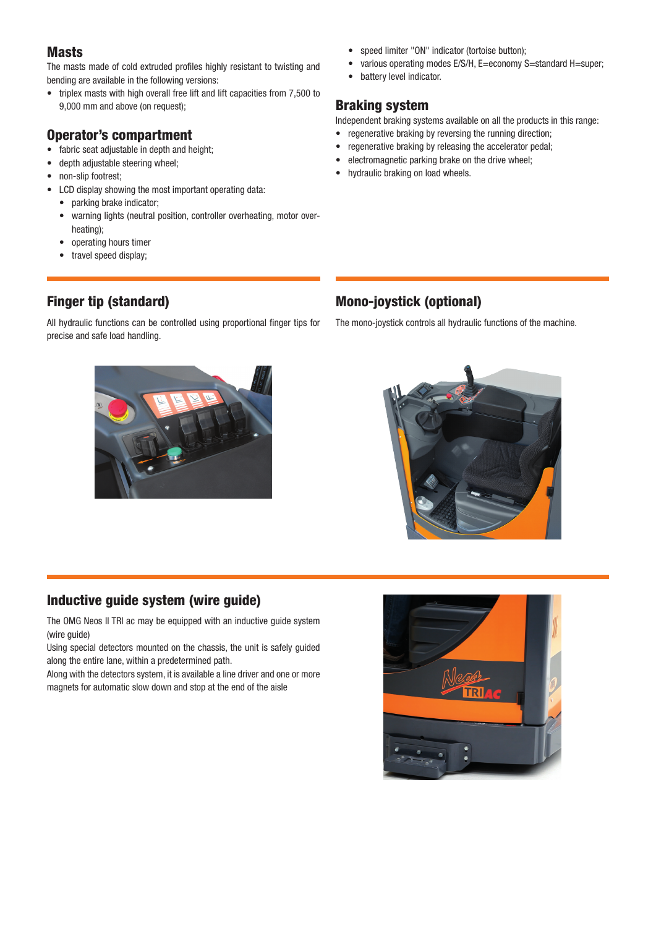## Masts

The masts made of cold extruded profiles highly resistant to twisting and bending are available in the following versions:

• triplex masts with high overall free lift and lift capacities from 7,500 to 9,000 mm and above (on request);

## Operator's compartment

- fabric seat adjustable in depth and height;
- depth adjustable steering wheel;
- non-slip footrest;
- LCD display showing the most important operating data:
	- parking brake indicator;
	- warning lights (neutral position, controller overheating, motor overheating);
	- operating hours timer
	- travel speed display;
- 

All hydraulic functions can be controlled using proportional finger tips for precise and safe load handling.

#### • speed limiter "ON" indicator (tortoise button);

- various operating modes E/S/H, E=economy S=standard H=super;
- battery level indicator.

## Braking system

Independent braking systems available on all the products in this range:

- regenerative braking by reversing the running direction;
- regenerative braking by releasing the accelerator pedal;
- electromagnetic parking brake on the drive wheel;
- hydraulic braking on load wheels.

# Finger tip (standard)

## Mono-joystick (optional)

The mono-joystick controls all hydraulic functions of the machine.





## Inductive guide system (wire guide)

The OMG Neos II TRI ac may be equipped with an inductive guide system (wire quide)

Using special detectors mounted on the chassis, the unit is safely guided along the entire lane, within a predetermined path.

Along with the detectors system, it is available a line driver and one or more magnets for automatic slow down and stop at the end of the aisle

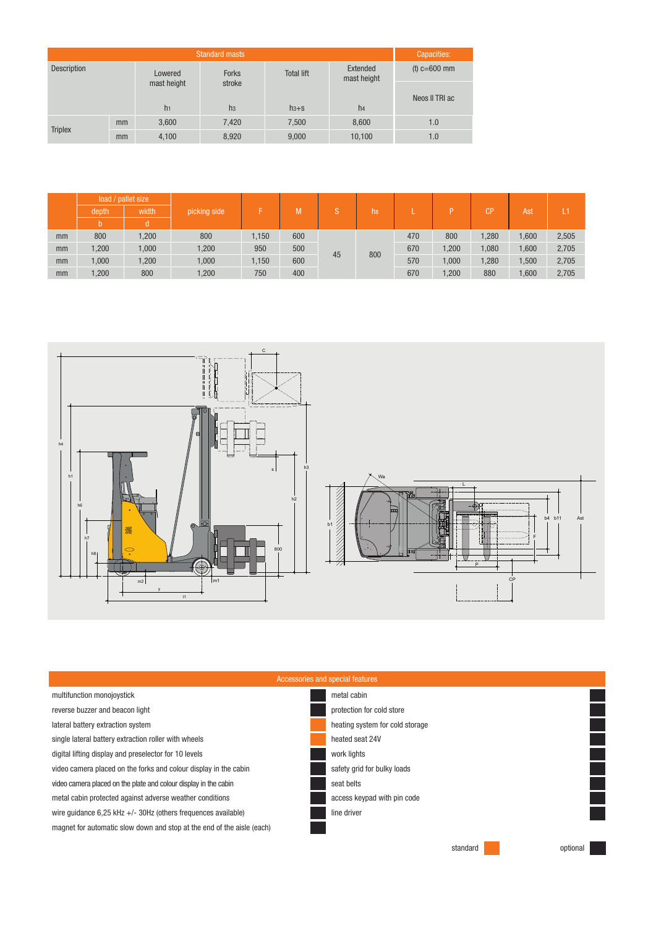|                    | Capacities: |                |                |                   |                         |                |  |
|--------------------|-------------|----------------|----------------|-------------------|-------------------------|----------------|--|
| <b>Description</b> |             | Lowered        | <b>Forks</b>   | <b>Total lift</b> | Extended<br>mast height | $(t)$ c=600 mm |  |
|                    |             | mast height    | stroke         |                   |                         | Neos II TRI ac |  |
|                    |             | h <sub>1</sub> | h <sub>3</sub> | $h3 + S$          | h4                      |                |  |
| <b>Triplex</b>     | mm          | 3,600          | 7,420          | 7,500             | 8,600                   | 1.0            |  |
|                    | mm          | 4,100          | 8,920          | 9,000             | 10,100                  | 1.0            |  |

|    | load / pallet size |       |              |       |     |    |                |     |      |       |       |       |
|----|--------------------|-------|--------------|-------|-----|----|----------------|-----|------|-------|-------|-------|
|    | depth              | width | picking side |       |     |    | h <sub>8</sub> |     |      | CP    | Ast   |       |
|    |                    |       |              |       |     |    |                |     |      |       |       |       |
| mm | 800                | 1,200 | 800          | 1,150 | 600 | 45 | 800            | 470 | 800  | 1,280 | 1,600 | 2,505 |
| mm | 1,200              | 1,000 | 1,200        | 950   | 500 |    |                | 670 | ,200 | 1,080 | 0.600 | 2,705 |
| mm | 000, 1             | 1,200 | 1,000        | .150  | 600 |    |                | 570 | 000, | 1,280 | 1,500 | 2,705 |
| mm | 1,200              | 800   | 1,200        | 750   | 400 |    |                | 670 | ,200 | 880   | 0.600 | 2,705 |